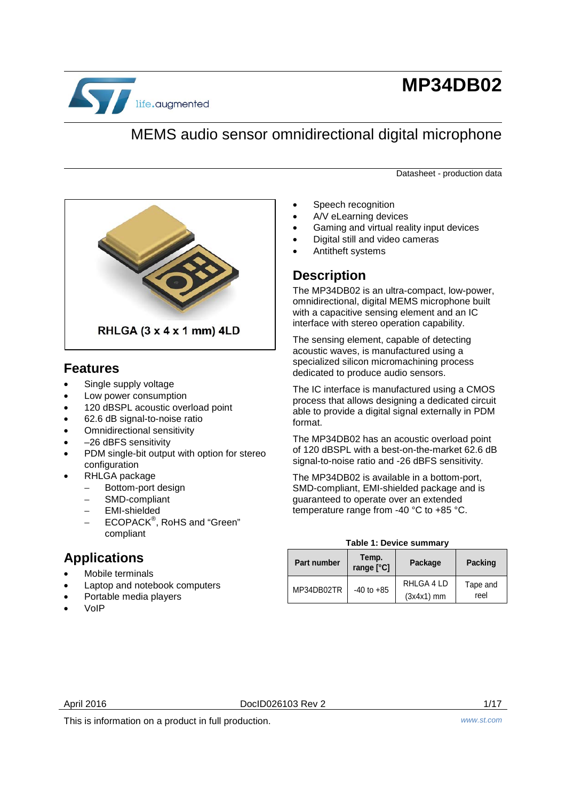

# **MP34DB02**

## MEMS audio sensor omnidirectional digital microphone

Datasheet - production data



#### **Features**

- Single supply voltage
- Low power consumption
- 120 dBSPL acoustic overload point
- 62.6 dB signal-to-noise ratio
- Omnidirectional sensitivity
- -26 dBFS sensitivity
- PDM single-bit output with option for stereo configuration
- RHLGA package
	- − Bottom-port design
	- − SMD-compliant
	- − EMI-shielded
	- − ECOPACK® , RoHS and "Green" compliant

## **Applications**

- Mobile terminals
- Laptop and notebook computers
- Portable media players
- VoIP
- Speech recognition
- A/V eLearning devices
- Gaming and virtual reality input devices
- Digital still and video cameras
- Antitheft systems

### **Description**

The MP34DB02 is an ultra-compact, low-power, omnidirectional, digital MEMS microphone built with a capacitive sensing element and an IC interface with stereo operation capability.

The sensing element, capable of detecting acoustic waves, is manufactured using a specialized silicon micromachining process dedicated to produce audio sensors.

The IC interface is manufactured using a CMOS process that allows designing a dedicated circuit able to provide a digital signal externally in PDM format.

The MP34DB02 has an acoustic overload point of 120 dBSPL with a best-on-the-market 62.6 dB signal-to-noise ratio and -26 dBFS sensitivity.

The MP34DB02 is available in a bottom-port, SMD-compliant, EMI-shielded package and is guaranteed to operate over an extended temperature range from -40 °C to +85 °C.

#### **Table 1: Device summary**

<span id="page-0-0"></span>

| <b>Part number</b> | Temp.<br>range [°C] | Package                    | <b>Packing</b>   |
|--------------------|---------------------|----------------------------|------------------|
| MP34DB02TR         | $-40$ to $+85$      | RHLGA 4 LD<br>$(3x4x1)$ mm | Tape and<br>reel |

April 2016 **DociD026103** Rev 2 1/17

This is information on a product in full production. *www.st.com*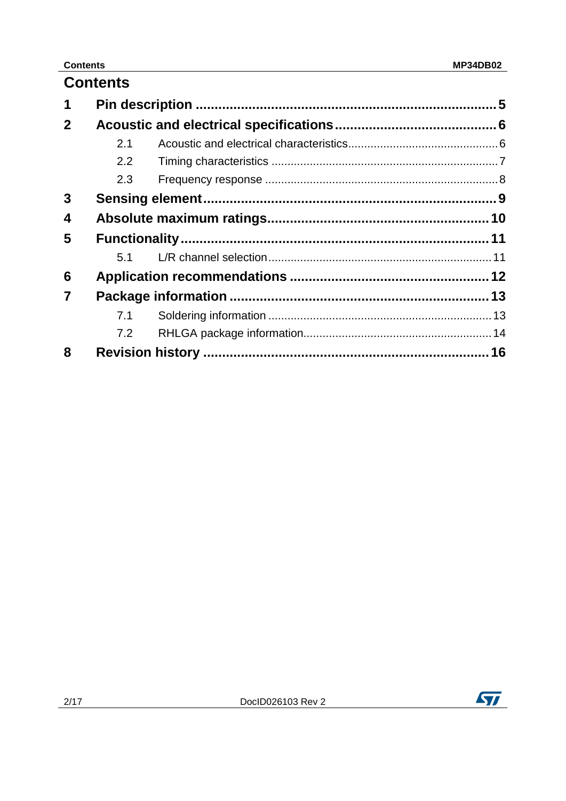#### **Contents**

|              | <b>Contents</b> |  |
|--------------|-----------------|--|
| 1            |                 |  |
| $\mathbf{2}$ |                 |  |
|              | 2.1             |  |
|              | 2.2             |  |
|              | 2.3             |  |
| 3            |                 |  |
| 4            |                 |  |
| 5            |                 |  |
|              | 5.1             |  |
| 6            |                 |  |
| 7            |                 |  |
|              | 7.1             |  |
|              | 7.2             |  |
| 8            |                 |  |

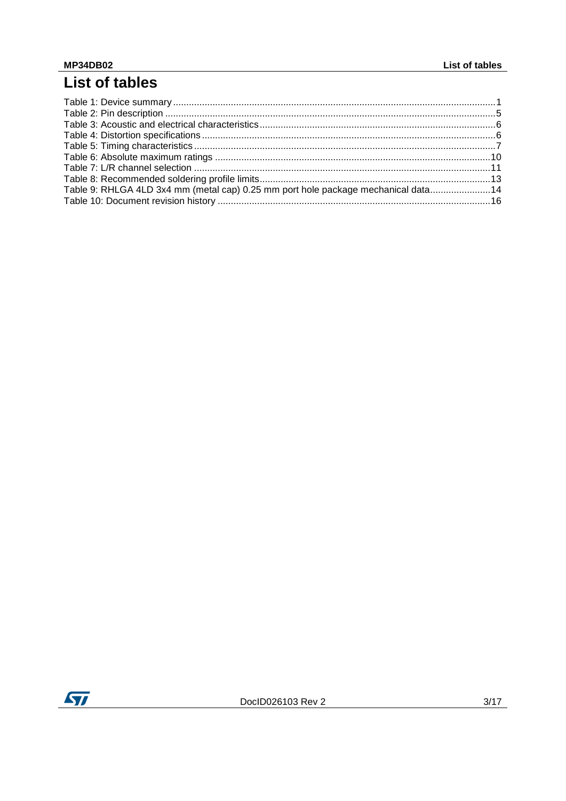# List of tables

| Table 9: RHLGA 4LD 3x4 mm (metal cap) 0.25 mm port hole package mechanical data 14 |  |
|------------------------------------------------------------------------------------|--|
|                                                                                    |  |
|                                                                                    |  |

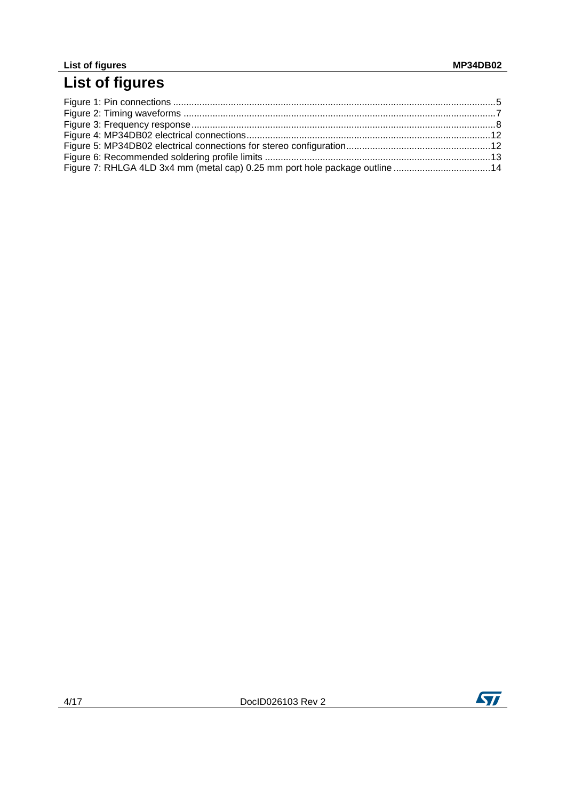#### **List of figures MP34DB02**

## **List of figures**

| Figure 7: RHLGA 4LD 3x4 mm (metal cap) 0.25 mm port hole package outline 14 |  |
|-----------------------------------------------------------------------------|--|

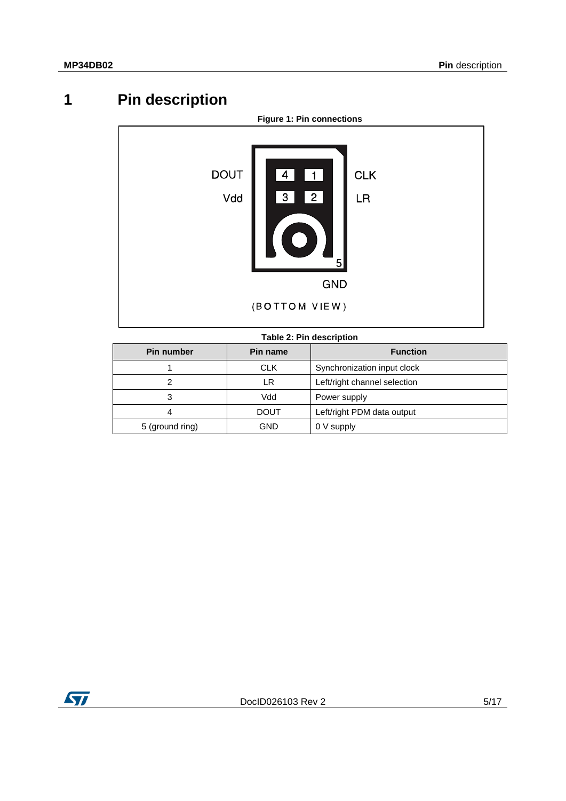# **1 Pin description**

<span id="page-4-2"></span><span id="page-4-0"></span>

#### **Table 2: Pin description**

<span id="page-4-1"></span>

| Pin number      | Pin name | <b>Function</b>              |  |
|-----------------|----------|------------------------------|--|
|                 | CLK.     | Synchronization input clock  |  |
|                 | LR       | Left/right channel selection |  |
| 3               | Vdd      | Power supply                 |  |
| 4               | DOUT     | Left/right PDM data output   |  |
| 5 (ground ring) | GND      | 0 V supply                   |  |

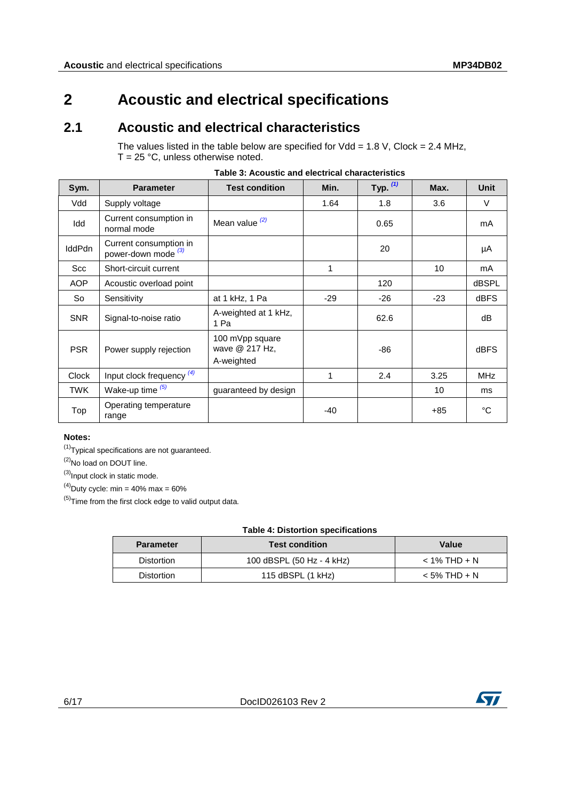## <span id="page-5-0"></span>**2 Acoustic and electrical specifications**

#### **2.1 Acoustic and electrical characteristics**

<span id="page-5-2"></span><span id="page-5-1"></span>The values listed in the table below are specified for  $Vdd = 1.8 V$ , Clock = 2.4 MHz,  $T = 25 °C$ , unless otherwise noted.

| Sym.          | <b>Parameter</b>                                         | <b>Test condition</b>                           | Min.  | Typ. $(1)$ | Max.  | <b>Unit</b>  |
|---------------|----------------------------------------------------------|-------------------------------------------------|-------|------------|-------|--------------|
| Vdd           | Supply voltage                                           |                                                 | 1.64  | 1.8        | 3.6   | V            |
| Idd           | Current consumption in<br>normal mode                    | Mean value $(2)$                                |       | 0.65       |       | mA           |
| <b>IddPdn</b> | Current consumption in<br>power-down mode <sup>(3)</sup> |                                                 |       | 20         |       | μA           |
| Scc           | Short-circuit current                                    |                                                 | 1     |            | 10    | mA           |
| <b>AOP</b>    | Acoustic overload point                                  |                                                 |       | 120        |       | <b>dBSPL</b> |
| So            | Sensitivity                                              | at 1 kHz, 1 Pa                                  | $-29$ | $-26$      | $-23$ | <b>dBFS</b>  |
| <b>SNR</b>    | Signal-to-noise ratio                                    | A-weighted at 1 kHz,<br>1 Pa                    |       | 62.6       |       | dB           |
| <b>PSR</b>    | Power supply rejection                                   | 100 mVpp square<br>wave @ 217 Hz,<br>A-weighted |       | $-86$      |       | <b>dBFS</b>  |
| <b>Clock</b>  | Input clock frequency (4)                                |                                                 | 1     | 2.4        | 3.25  | <b>MHz</b>   |
| <b>TWK</b>    | Wake-up time $(5)$                                       | guaranteed by design                            |       |            | 10    | ms           |
| Top           | Operating temperature<br>range                           |                                                 | $-40$ |            | +85   | °C           |

| Table 3: Acoustic and electrical characteristics |
|--------------------------------------------------|
|--------------------------------------------------|

#### **Notes:**

<span id="page-5-4"></span> $(1)$ Typical specifications are not guaranteed.

<span id="page-5-5"></span><sup>(2)</sup>No load on DOUT line.

<span id="page-5-6"></span> $^{(3)}$ Input clock in static mode.

<span id="page-5-7"></span> $^{(4)}$ Duty cycle: min = 40% max = 60%

<span id="page-5-8"></span> $(5)$ Time from the first clock edge to valid output data.

#### **Table 4: Distortion specifications**

<span id="page-5-3"></span>

| <b>Parameter</b>  | <b>Test condition</b>     | Value          |
|-------------------|---------------------------|----------------|
| <b>Distortion</b> | 100 dBSPL (50 Hz - 4 kHz) | $<$ 1% THD + N |
| <b>Distortion</b> | 115 $dBSPL$ (1 kHz)       | $<$ 5% THD + N |

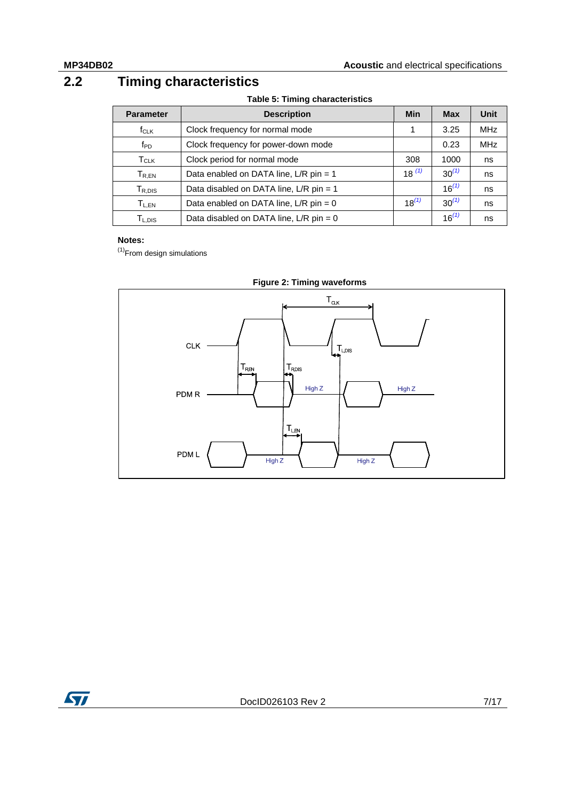## **2.2 Timing characteristics**

**Table 5: Timing characteristics**

<span id="page-6-1"></span><span id="page-6-0"></span>

| <b>Parameter</b>        | <b>Description</b>                       | <b>Min</b> | <b>Max</b> | Unit       |
|-------------------------|------------------------------------------|------------|------------|------------|
| $f_{CLK}$               | Clock frequency for normal mode          |            | 3.25       | <b>MHz</b> |
| f <sub>PD</sub>         | Clock frequency for power-down mode      |            | 0.23       | <b>MHz</b> |
| <b>T</b> <sub>CLK</sub> | Clock period for normal mode             | 308        | 1000       | ns         |
| $T_{R,EN}$              | Data enabled on DATA line, L/R pin = 1   | $18^{(1)}$ | $30^{(1)}$ | ns         |
| $T_{R,DIS}$             | Data disabled on DATA line, L/R pin = 1  |            | $16^{(1)}$ | ns         |
| $T_{L,EN}$              | Data enabled on DATA line, $L/R$ pin = 0 | $18^{(1)}$ | $30^{(1)}$ | ns         |
| $T_{L,DIS}$             | Data disabled on DATA line, L/R pin = 0  |            | $16^{(1)}$ | ns         |

#### **Notes:**

<span id="page-6-3"></span> $<sup>(1)</sup>$ From design simulations</sup>

<span id="page-6-2"></span>



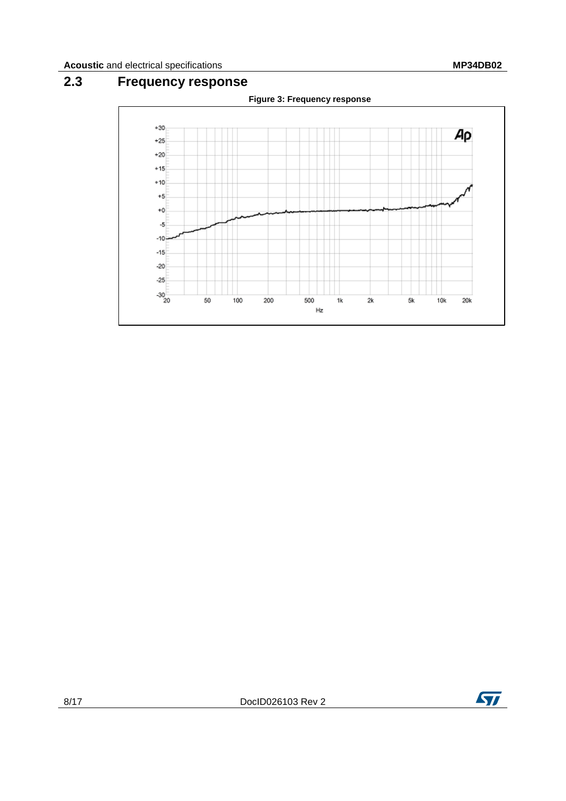## **2.3 Frequency response**

<span id="page-7-1"></span><span id="page-7-0"></span>

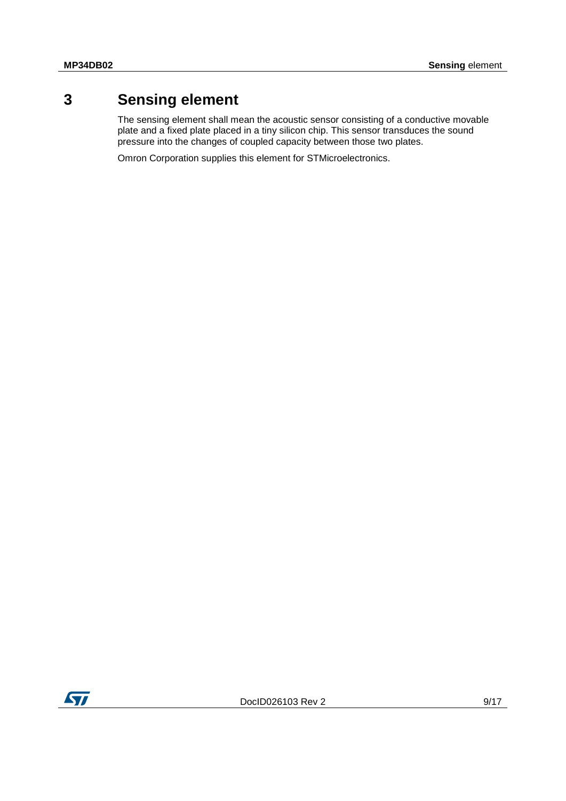## **3 Sensing element**

<span id="page-8-0"></span>The sensing element shall mean the acoustic sensor consisting of a conductive movable plate and a fixed plate placed in a tiny silicon chip. This sensor transduces the sound pressure into the changes of coupled capacity between those two plates.

Omron Corporation supplies this element for STMicroelectronics.

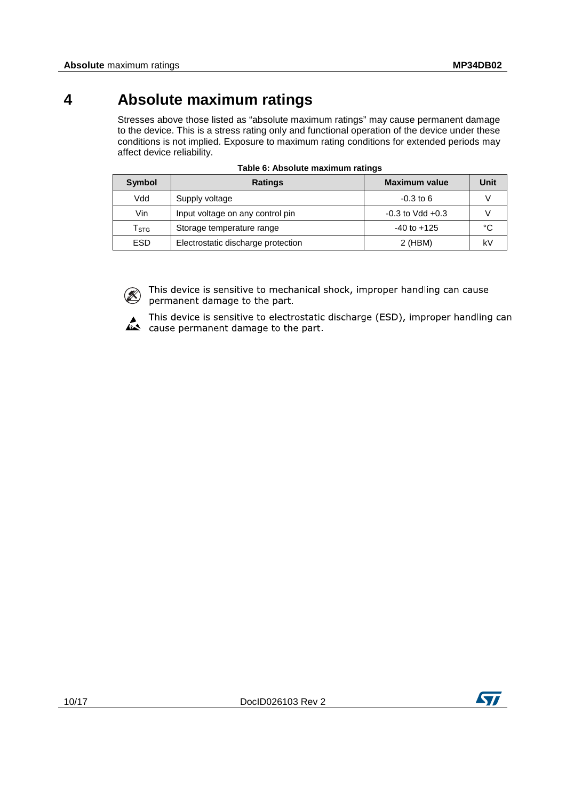## **4 Absolute maximum ratings**

<span id="page-9-0"></span>Stresses above those listed as "absolute maximum ratings" may cause permanent damage to the device. This is a stress rating only and functional operation of the device under these conditions is not implied. Exposure to maximum rating conditions for extended periods may affect device reliability.

<span id="page-9-1"></span>

| Symbol                      | <b>Ratings</b>                     | <b>Maximum value</b> | Unit |
|-----------------------------|------------------------------------|----------------------|------|
| Vdd                         | Supply voltage                     | $-0.3$ to 6          |      |
| Vin                         | Input voltage on any control pin   | $-0.3$ to Vdd $+0.3$ |      |
| $\mathsf{T}_{\texttt{STG}}$ | Storage temperature range          | $-40$ to $+125$      | °C   |
| <b>ESD</b>                  | Electrostatic discharge protection | 2 (HBM)              | kV   |

|  |  |  | Table 6: Absolute maximum ratings |  |
|--|--|--|-----------------------------------|--|
|--|--|--|-----------------------------------|--|

 $(\mathbb{X})$ 

This device is sensitive to mechanical shock, improper handling can cause permanent damage to the part.

This device is sensitive to electrostatic discharge (ESD), improper handling can cause permanent damage to the part.

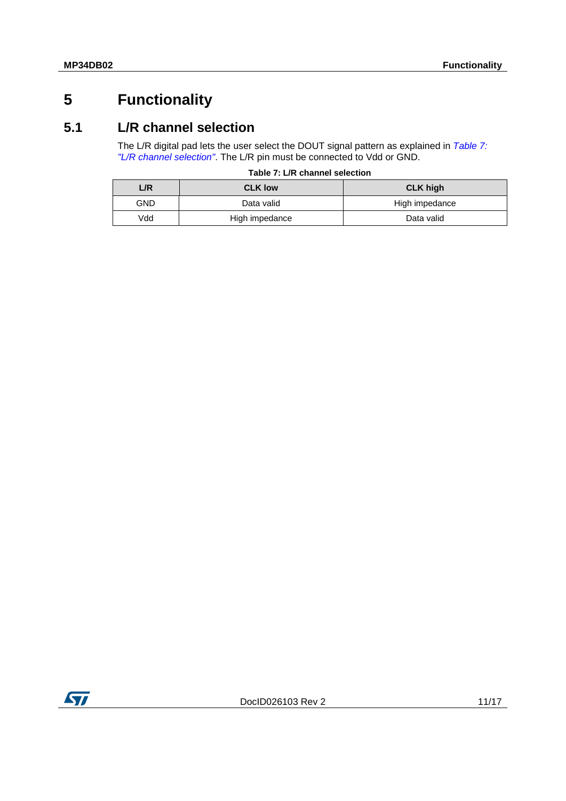## <span id="page-10-0"></span>**5 Functionality**

#### **5.1 L/R channel selection**

<span id="page-10-1"></span>The L/R digital pad lets the user select the DOUT signal pattern as explained in *[Table 7:](#page-10-2)  ["L/R channel selection"](#page-10-2)*. The L/R pin must be connected to Vdd or GND.

|  |  | Table 7: L/R channel selection |
|--|--|--------------------------------|
|  |  |                                |

<span id="page-10-2"></span>

| L/R        | <b>CLK low</b> | <b>CLK high</b> |
|------------|----------------|-----------------|
| <b>GND</b> | Data valid     | High impedance  |
| Vdd        | High impedance | Data valid      |

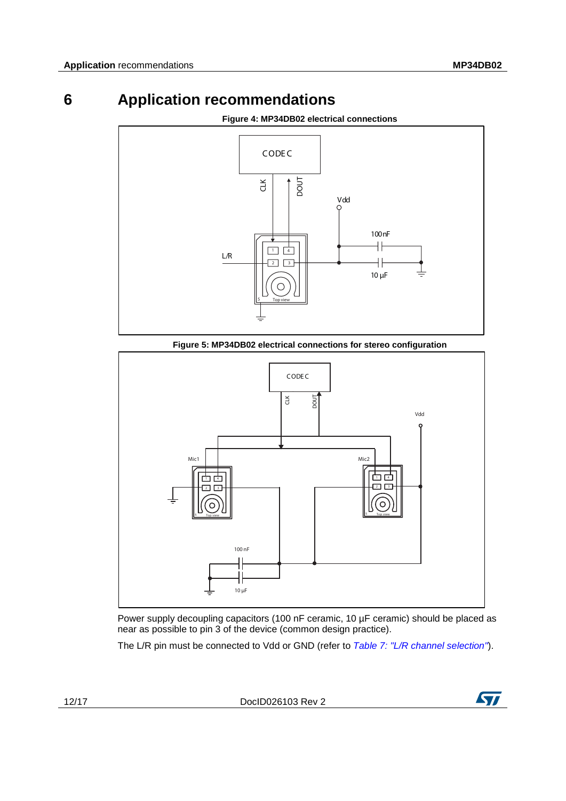# **6 Application recommendations**

<span id="page-11-1"></span><span id="page-11-0"></span>

**Figure 4: MP34DB02 electrical connections**

<span id="page-11-2"></span>

Power supply decoupling capacitors (100 nF ceramic, 10 µF ceramic) should be placed as near as possible to pin 3 of the device (common design practice).

The L/R pin must be connected to Vdd or GND (refer to *[Table 7: "L/R channel selection"](#page-10-2)*).

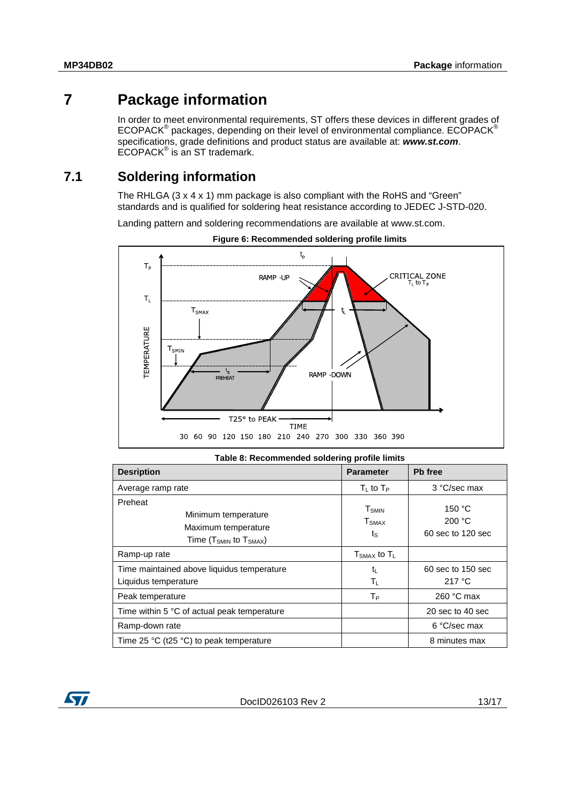## **7 Package information**

<span id="page-12-0"></span>In order to meet environmental requirements, ST offers these devices in different grades of ECOPACK® packages, depending on their level of environmental compliance. ECOPACK® specifications, grade definitions and product status are available at: *www.st.com*.  $ECOPACK^{\circ}$  is an ST trademark.

#### **7.1 Soldering information**

<span id="page-12-1"></span>The RHLGA (3 x 4 x 1) mm package is also compliant with the RoHS and "Green" standards and is qualified for soldering heat resistance according to JEDEC J-STD-020.

Landing pattern and soldering recommendations are available at www.st.com.

<span id="page-12-3"></span>



<span id="page-12-2"></span>

| Table 8: Recommended soldering profile limits                                                           |                                                                     |                                       |  |  |
|---------------------------------------------------------------------------------------------------------|---------------------------------------------------------------------|---------------------------------------|--|--|
| <b>Desription</b>                                                                                       | <b>Parameter</b>                                                    | Pb free                               |  |  |
| Average ramp rate                                                                                       | $T_{L}$ to $T_{P}$                                                  | 3 °C/sec max                          |  |  |
| Preheat<br>Minimum temperature<br>Maximum temperature<br>Time (T <sub>SMIN</sub> to T <sub>SMAX</sub> ) | <b>T</b> <sub>SMIN</sub><br><b>T</b> <sub>SMAX</sub><br>$t_{\rm S}$ | 150 °C<br>200 °C<br>60 sec to 120 sec |  |  |
| Ramp-up rate                                                                                            | $T_{\text{SMAX}}$ to $T_{\text{L}}$                                 |                                       |  |  |
| Time maintained above liquidus temperature<br>Liquidus temperature                                      | $t_{L}$<br>Τı.                                                      | 60 sec to 150 sec<br>217 °C           |  |  |
| Peak temperature                                                                                        | Tр                                                                  | 260 °C max                            |  |  |
| Time within 5 °C of actual peak temperature                                                             |                                                                     | 20 sec to 40 sec                      |  |  |
| Ramp-down rate                                                                                          |                                                                     | 6 °C/sec max                          |  |  |
| Time 25 $\degree$ C (t25 $\degree$ C) to peak temperature                                               |                                                                     | 8 minutes max                         |  |  |

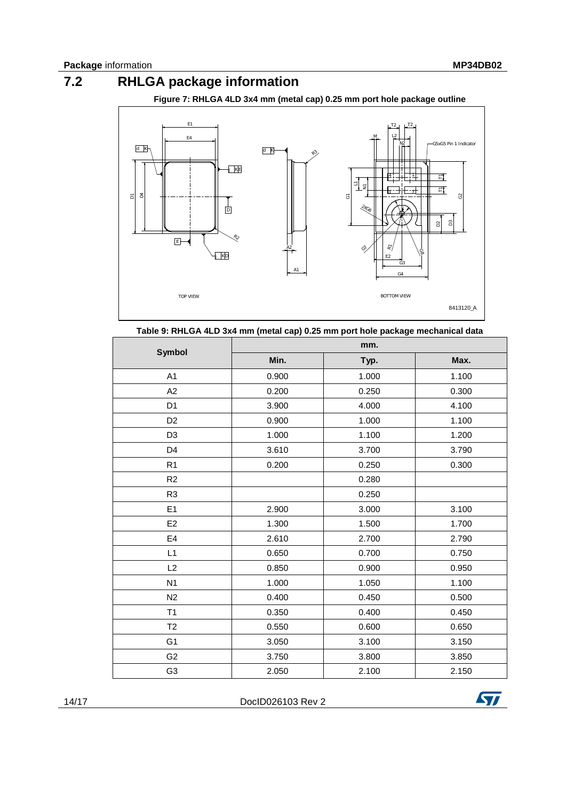## **7.2 RHLGA package information**

<span id="page-13-0"></span>**Figure 7: RHLGA 4LD 3x4 mm (metal cap) 0.25 mm port hole package outline**

<span id="page-13-2"></span>

<span id="page-13-1"></span>

| <b>Symbol</b>  | mm.   |       |       |
|----------------|-------|-------|-------|
|                | Min.  | Typ.  | Max.  |
| A <sub>1</sub> | 0.900 | 1.000 | 1.100 |
| A <sub>2</sub> | 0.200 | 0.250 | 0.300 |
| D <sub>1</sub> | 3.900 | 4.000 | 4.100 |
| D <sub>2</sub> | 0.900 | 1.000 | 1.100 |
| D <sub>3</sub> | 1.000 | 1.100 | 1.200 |
| D <sub>4</sub> | 3.610 | 3.700 | 3.790 |
| R <sub>1</sub> | 0.200 | 0.250 | 0.300 |
| R2             |       | 0.280 |       |
| R <sub>3</sub> |       | 0.250 |       |
| E1             | 2.900 | 3.000 | 3.100 |
| E <sub>2</sub> | 1.300 | 1.500 | 1.700 |
| E <sub>4</sub> | 2.610 | 2.700 | 2.790 |
| L1             | 0.650 | 0.700 | 0.750 |
| L2             | 0.850 | 0.900 | 0.950 |
| N <sub>1</sub> | 1.000 | 1.050 | 1.100 |
| N <sub>2</sub> | 0.400 | 0.450 | 0.500 |
| T1             | 0.350 | 0.400 | 0.450 |
| T <sub>2</sub> | 0.550 | 0.600 | 0.650 |
| G <sub>1</sub> | 3.050 | 3.100 | 3.150 |
| G <sub>2</sub> | 3.750 | 3.800 | 3.850 |
| G <sub>3</sub> | 2.050 | 2.100 | 2.150 |

14/17 DocID026103 Rev 2

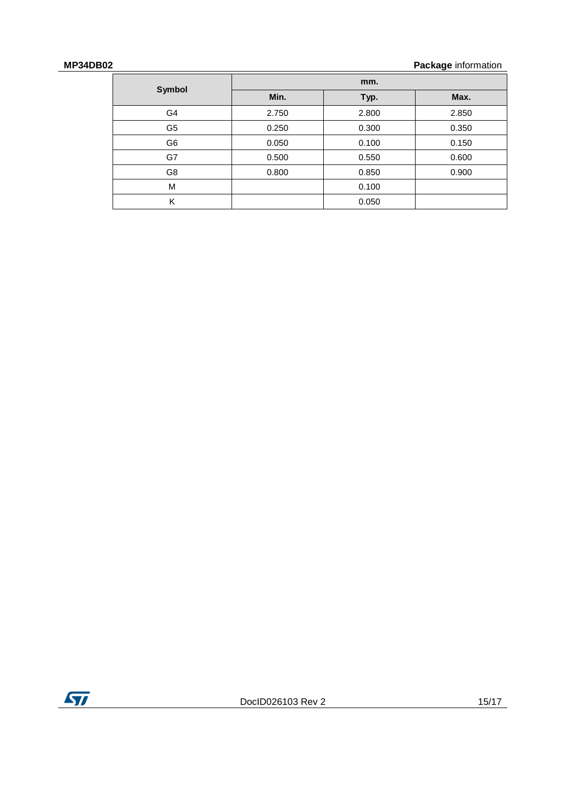#### **MP34DB02 Package** information

| Symbol         | mm.   |       |       |
|----------------|-------|-------|-------|
|                | Min.  | Typ.  | Max.  |
| G <sub>4</sub> | 2.750 | 2.800 | 2.850 |
| G5             | 0.250 | 0.300 | 0.350 |
| G6             | 0.050 | 0.100 | 0.150 |
| G7             | 0.500 | 0.550 | 0.600 |
| G8             | 0.800 | 0.850 | 0.900 |
| M              |       | 0.100 |       |
| K              |       | 0.050 |       |

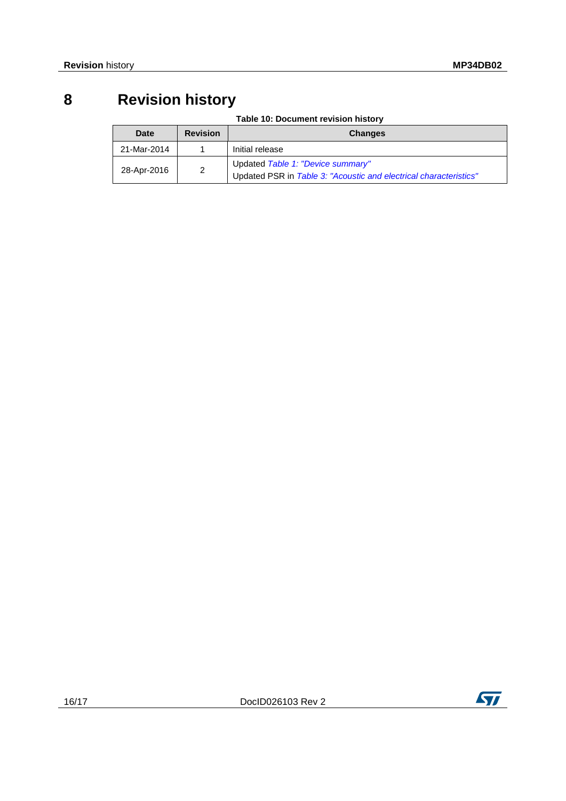# **8 Revision history**

**Table 10: Document revision history**

<span id="page-15-1"></span><span id="page-15-0"></span>

| Date        | <b>Revision</b> | <b>Changes</b>                                                                                         |
|-------------|-----------------|--------------------------------------------------------------------------------------------------------|
| 21-Mar-2014 |                 | Initial release                                                                                        |
| 28-Apr-2016 | $\overline{2}$  | Updated Table 1: "Device summary"<br>Updated PSR in Table 3: "Acoustic and electrical characteristics" |

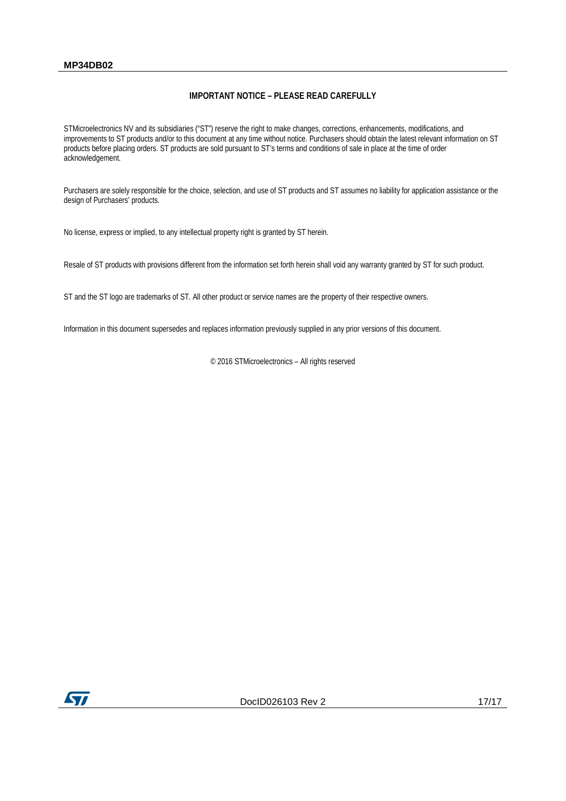#### **MP34DB02**

#### **IMPORTANT NOTICE – PLEASE READ CAREFULLY**

STMicroelectronics NV and its subsidiaries ("ST") reserve the right to make changes, corrections, enhancements, modifications, and improvements to ST products and/or to this document at any time without notice. Purchasers should obtain the latest relevant information on ST products before placing orders. ST products are sold pursuant to ST's terms and conditions of sale in place at the time of order acknowledgement.

Purchasers are solely responsible for the choice, selection, and use of ST products and ST assumes no liability for application assistance or the design of Purchasers' products.

No license, express or implied, to any intellectual property right is granted by ST herein.

Resale of ST products with provisions different from the information set forth herein shall void any warranty granted by ST for such product.

ST and the ST logo are trademarks of ST. All other product or service names are the property of their respective owners.

Information in this document supersedes and replaces information previously supplied in any prior versions of this document.

© 2016 STMicroelectronics – All rights reserved